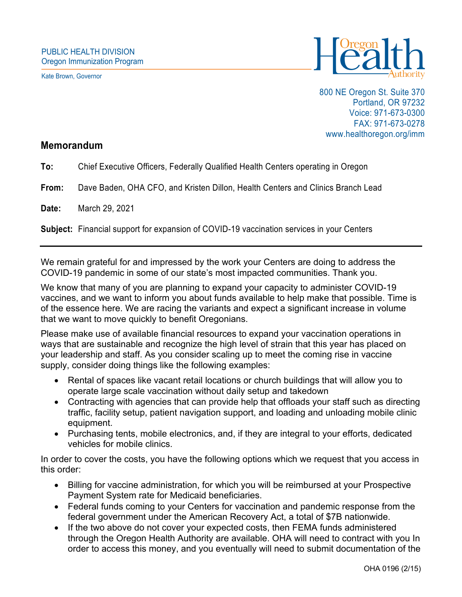Kate Brown, Governor



800 NE Oregon St. Suite 370 Portland, OR 97232 Voice: 971-673-0300 FAX: 971-673-0278 www.healthoregon.org/imm

## **Memorandum**

**To:** Chief Executive Officers, Federally Qualified Health Centers operating in Oregon

**From:** Dave Baden, OHA CFO, and Kristen Dillon, Health Centers and Clinics Branch Lead

**Date:** March 29, 2021

**Subject:** Financial support for expansion of COVID-19 vaccination services in your Centers

We remain grateful for and impressed by the work your Centers are doing to address the COVID-19 pandemic in some of our state's most impacted communities. Thank you.

We know that many of you are planning to expand your capacity to administer COVID-19 vaccines, and we want to inform you about funds available to help make that possible. Time is of the essence here. We are racing the variants and expect a significant increase in volume that we want to move quickly to benefit Oregonians.

Please make use of available financial resources to expand your vaccination operations in ways that are sustainable and recognize the high level of strain that this year has placed on your leadership and staff. As you consider scaling up to meet the coming rise in vaccine supply, consider doing things like the following examples:

- Rental of spaces like vacant retail locations or church buildings that will allow you to operate large scale vaccination without daily setup and takedown
- Contracting with agencies that can provide help that offloads your staff such as directing traffic, facility setup, patient navigation support, and loading and unloading mobile clinic equipment.
- Purchasing tents, mobile electronics, and, if they are integral to your efforts, dedicated vehicles for mobile clinics.

In order to cover the costs, you have the following options which we request that you access in this order:

- Billing for vaccine administration, for which you will be reimbursed at your Prospective Payment System rate for Medicaid beneficiaries.
- Federal funds coming to your Centers for vaccination and pandemic response from the federal government under the American Recovery Act, a total of \$7B nationwide.
- If the two above do not cover your expected costs, then FEMA funds administered through the Oregon Health Authority are available. OHA will need to contract with you In order to access this money, and you eventually will need to submit documentation of the